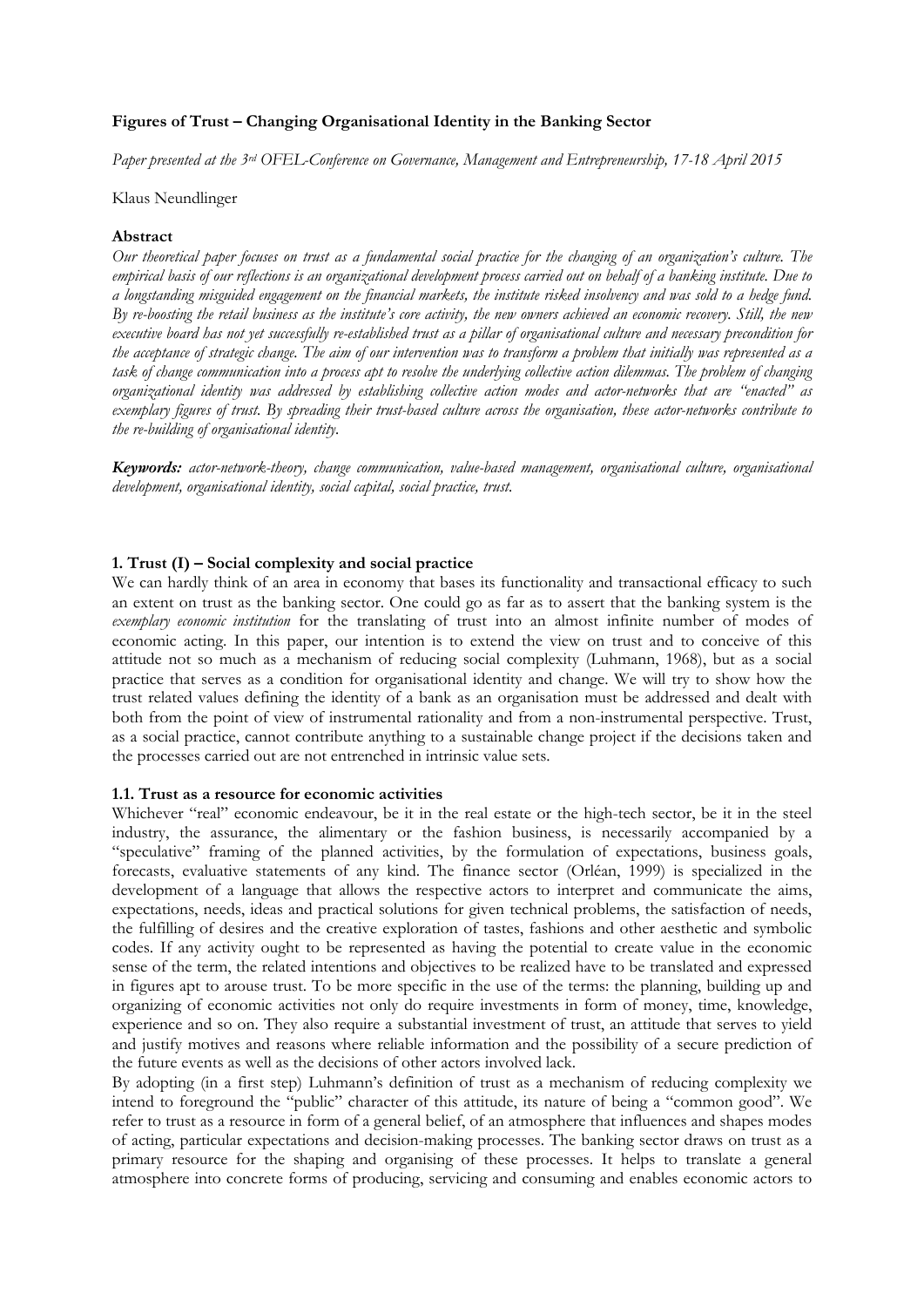## **Figures of Trust – Changing Organisational Identity in the Banking Sector**

*Paper presented at the 3rd OFEL-Conference on Governance, Management and Entrepreneurship, 17-18 April 2015*

#### Klaus Neundlinger

#### **Abstract**

*Our theoretical paper focuses on trust as a fundamental social practice for the changing of an organization's culture. The empirical basis of our reflections is an organizational development process carried out on behalf of a banking institute. Due to a longstanding misguided engagement on the financial markets, the institute risked insolvency and was sold to a hedge fund. By re-boosting the retail business as the institute's core activity, the new owners achieved an economic recovery. Still, the new executive board has not yet successfully re-established trust as a pillar of organisational culture and necessary precondition for the acceptance of strategic change. The aim of our intervention was to transform a problem that initially was represented as a task of change communication into a process apt to resolve the underlying collective action dilemmas. The problem of changing organizational identity was addressed by establishing collective action modes and actor-networks that are "enacted" as exemplary figures of trust. By spreading their trust-based culture across the organisation, these actor-networks contribute to the re-building of organisational identity.*

*Keywords: actor-network-theory, change communication, value-based management, organisational culture, organisational development, organisational identity, social capital, social practice, trust.*

### **1. Trust (I) – Social complexity and social practice**

We can hardly think of an area in economy that bases its functionality and transactional efficacy to such an extent on trust as the banking sector. One could go as far as to assert that the banking system is the *exemplary economic institution* for the translating of trust into an almost infinite number of modes of economic acting. In this paper, our intention is to extend the view on trust and to conceive of this attitude not so much as a mechanism of reducing social complexity (Luhmann, 1968), but as a social practice that serves as a condition for organisational identity and change. We will try to show how the trust related values defining the identity of a bank as an organisation must be addressed and dealt with both from the point of view of instrumental rationality and from a non-instrumental perspective. Trust, as a social practice, cannot contribute anything to a sustainable change project if the decisions taken and the processes carried out are not entrenched in intrinsic value sets.

# **1.1. Trust as a resource for economic activities**

Whichever "real" economic endeavour, be it in the real estate or the high-tech sector, be it in the steel industry, the assurance, the alimentary or the fashion business, is necessarily accompanied by a "speculative" framing of the planned activities, by the formulation of expectations, business goals, forecasts, evaluative statements of any kind. The finance sector (Orléan, 1999) is specialized in the development of a language that allows the respective actors to interpret and communicate the aims, expectations, needs, ideas and practical solutions for given technical problems, the satisfaction of needs, the fulfilling of desires and the creative exploration of tastes, fashions and other aesthetic and symbolic codes. If any activity ought to be represented as having the potential to create value in the economic sense of the term, the related intentions and objectives to be realized have to be translated and expressed in figures apt to arouse trust. To be more specific in the use of the terms: the planning, building up and organizing of economic activities not only do require investments in form of money, time, knowledge, experience and so on. They also require a substantial investment of trust, an attitude that serves to yield and justify motives and reasons where reliable information and the possibility of a secure prediction of the future events as well as the decisions of other actors involved lack.

By adopting (in a first step) Luhmann's definition of trust as a mechanism of reducing complexity we intend to foreground the "public" character of this attitude, its nature of being a "common good". We refer to trust as a resource in form of a general belief, of an atmosphere that influences and shapes modes of acting, particular expectations and decision-making processes. The banking sector draws on trust as a primary resource for the shaping and organising of these processes. It helps to translate a general atmosphere into concrete forms of producing, servicing and consuming and enables economic actors to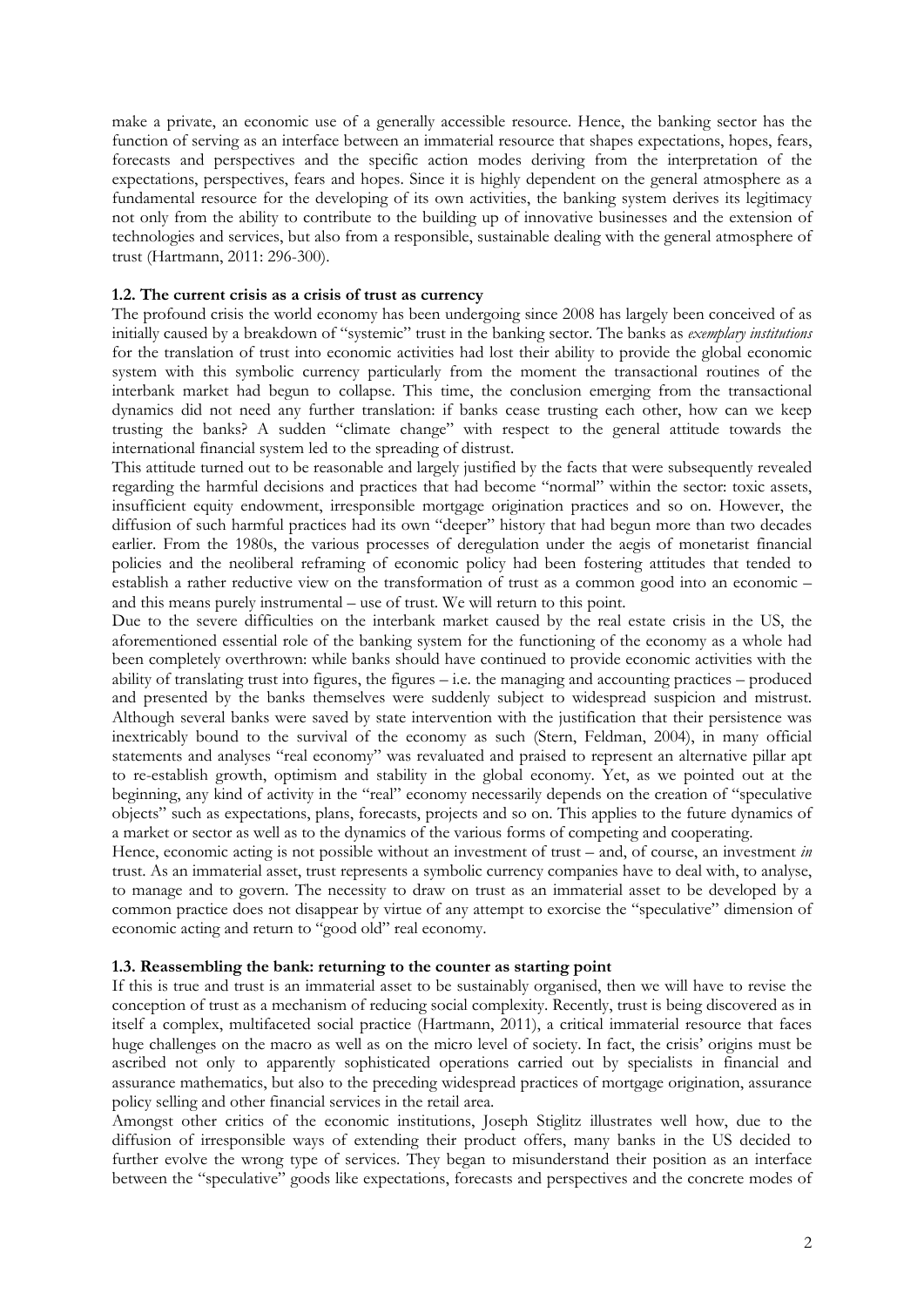make a private, an economic use of a generally accessible resource. Hence, the banking sector has the function of serving as an interface between an immaterial resource that shapes expectations, hopes, fears, forecasts and perspectives and the specific action modes deriving from the interpretation of the expectations, perspectives, fears and hopes. Since it is highly dependent on the general atmosphere as a fundamental resource for the developing of its own activities, the banking system derives its legitimacy not only from the ability to contribute to the building up of innovative businesses and the extension of technologies and services, but also from a responsible, sustainable dealing with the general atmosphere of trust (Hartmann, 2011: 296-300).

### **1.2. The current crisis as a crisis of trust as currency**

The profound crisis the world economy has been undergoing since 2008 has largely been conceived of as initially caused by a breakdown of "systemic" trust in the banking sector. The banks as *exemplary institutions* for the translation of trust into economic activities had lost their ability to provide the global economic system with this symbolic currency particularly from the moment the transactional routines of the interbank market had begun to collapse. This time, the conclusion emerging from the transactional dynamics did not need any further translation: if banks cease trusting each other, how can we keep trusting the banks? A sudden "climate change" with respect to the general attitude towards the international financial system led to the spreading of distrust.

This attitude turned out to be reasonable and largely justified by the facts that were subsequently revealed regarding the harmful decisions and practices that had become "normal" within the sector: toxic assets, insufficient equity endowment, irresponsible mortgage origination practices and so on. However, the diffusion of such harmful practices had its own "deeper" history that had begun more than two decades earlier. From the 1980s, the various processes of deregulation under the aegis of monetarist financial policies and the neoliberal reframing of economic policy had been fostering attitudes that tended to establish a rather reductive view on the transformation of trust as a common good into an economic – and this means purely instrumental – use of trust. We will return to this point.

Due to the severe difficulties on the interbank market caused by the real estate crisis in the US, the aforementioned essential role of the banking system for the functioning of the economy as a whole had been completely overthrown: while banks should have continued to provide economic activities with the ability of translating trust into figures, the figures – i.e. the managing and accounting practices – produced and presented by the banks themselves were suddenly subject to widespread suspicion and mistrust. Although several banks were saved by state intervention with the justification that their persistence was inextricably bound to the survival of the economy as such (Stern, Feldman, 2004), in many official statements and analyses "real economy" was revaluated and praised to represent an alternative pillar apt to re-establish growth, optimism and stability in the global economy. Yet, as we pointed out at the beginning, any kind of activity in the "real" economy necessarily depends on the creation of "speculative objects" such as expectations, plans, forecasts, projects and so on. This applies to the future dynamics of a market or sector as well as to the dynamics of the various forms of competing and cooperating.

Hence, economic acting is not possible without an investment of trust – and, of course, an investment *in* trust. As an immaterial asset, trust represents a symbolic currency companies have to deal with, to analyse, to manage and to govern. The necessity to draw on trust as an immaterial asset to be developed by a common practice does not disappear by virtue of any attempt to exorcise the "speculative" dimension of economic acting and return to "good old" real economy.

### **1.3. Reassembling the bank: returning to the counter as starting point**

If this is true and trust is an immaterial asset to be sustainably organised, then we will have to revise the conception of trust as a mechanism of reducing social complexity. Recently, trust is being discovered as in itself a complex, multifaceted social practice (Hartmann, 2011), a critical immaterial resource that faces huge challenges on the macro as well as on the micro level of society. In fact, the crisis' origins must be ascribed not only to apparently sophisticated operations carried out by specialists in financial and assurance mathematics, but also to the preceding widespread practices of mortgage origination, assurance policy selling and other financial services in the retail area.

Amongst other critics of the economic institutions, Joseph Stiglitz illustrates well how, due to the diffusion of irresponsible ways of extending their product offers, many banks in the US decided to further evolve the wrong type of services. They began to misunderstand their position as an interface between the "speculative" goods like expectations, forecasts and perspectives and the concrete modes of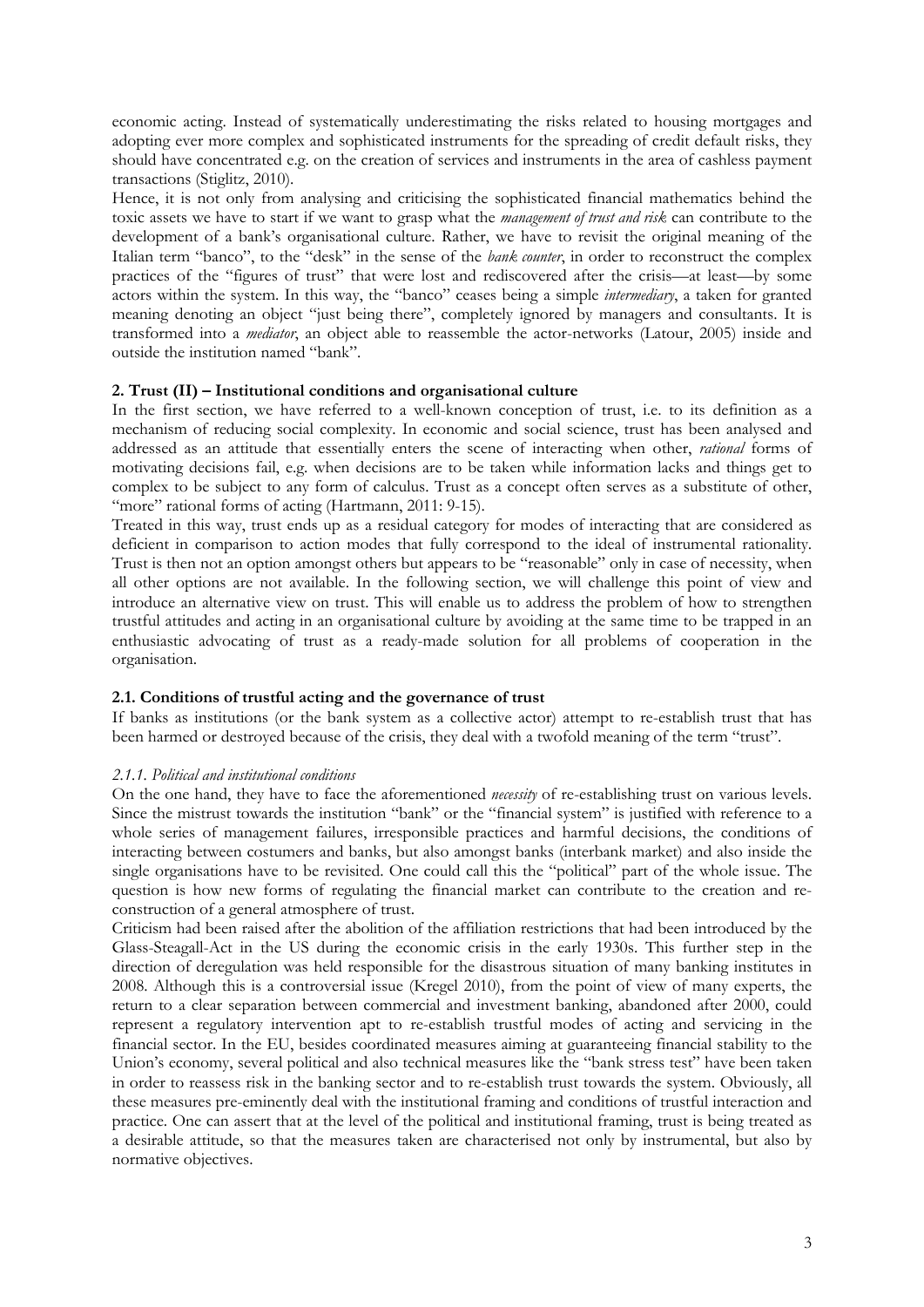economic acting. Instead of systematically underestimating the risks related to housing mortgages and adopting ever more complex and sophisticated instruments for the spreading of credit default risks, they should have concentrated e.g. on the creation of services and instruments in the area of cashless payment transactions (Stiglitz, 2010).

Hence, it is not only from analysing and criticising the sophisticated financial mathematics behind the toxic assets we have to start if we want to grasp what the *management of trust and risk* can contribute to the development of a bank's organisational culture. Rather, we have to revisit the original meaning of the Italian term "banco", to the "desk" in the sense of the *bank counter*, in order to reconstruct the complex practices of the "figures of trust" that were lost and rediscovered after the crisis—at least—by some actors within the system. In this way, the "banco" ceases being a simple *intermediary*, a taken for granted meaning denoting an object "just being there", completely ignored by managers and consultants. It is transformed into a *mediator*, an object able to reassemble the actor-networks (Latour, 2005) inside and outside the institution named "bank".

## **2. Trust (II) – Institutional conditions and organisational culture**

In the first section, we have referred to a well-known conception of trust, i.e. to its definition as a mechanism of reducing social complexity. In economic and social science, trust has been analysed and addressed as an attitude that essentially enters the scene of interacting when other, *rational* forms of motivating decisions fail, e.g. when decisions are to be taken while information lacks and things get to complex to be subject to any form of calculus. Trust as a concept often serves as a substitute of other, "more" rational forms of acting (Hartmann, 2011: 9-15).

Treated in this way, trust ends up as a residual category for modes of interacting that are considered as deficient in comparison to action modes that fully correspond to the ideal of instrumental rationality. Trust is then not an option amongst others but appears to be "reasonable" only in case of necessity, when all other options are not available. In the following section, we will challenge this point of view and introduce an alternative view on trust. This will enable us to address the problem of how to strengthen trustful attitudes and acting in an organisational culture by avoiding at the same time to be trapped in an enthusiastic advocating of trust as a ready-made solution for all problems of cooperation in the organisation.

### **2.1. Conditions of trustful acting and the governance of trust**

If banks as institutions (or the bank system as a collective actor) attempt to re-establish trust that has been harmed or destroyed because of the crisis, they deal with a twofold meaning of the term "trust".

### *2.1.1. Political and institutional conditions*

On the one hand, they have to face the aforementioned *necessity* of re-establishing trust on various levels. Since the mistrust towards the institution "bank" or the "financial system" is justified with reference to a whole series of management failures, irresponsible practices and harmful decisions, the conditions of interacting between costumers and banks, but also amongst banks (interbank market) and also inside the single organisations have to be revisited. One could call this the "political" part of the whole issue. The question is how new forms of regulating the financial market can contribute to the creation and reconstruction of a general atmosphere of trust.

Criticism had been raised after the abolition of the affiliation restrictions that had been introduced by the Glass-Steagall-Act in the US during the economic crisis in the early 1930s. This further step in the direction of deregulation was held responsible for the disastrous situation of many banking institutes in 2008. Although this is a controversial issue (Kregel 2010), from the point of view of many experts, the return to a clear separation between commercial and investment banking, abandoned after 2000, could represent a regulatory intervention apt to re-establish trustful modes of acting and servicing in the financial sector. In the EU, besides coordinated measures aiming at guaranteeing financial stability to the Union's economy, several political and also technical measures like the "bank stress test" have been taken in order to reassess risk in the banking sector and to re-establish trust towards the system. Obviously, all these measures pre-eminently deal with the institutional framing and conditions of trustful interaction and practice. One can assert that at the level of the political and institutional framing, trust is being treated as a desirable attitude, so that the measures taken are characterised not only by instrumental, but also by normative objectives.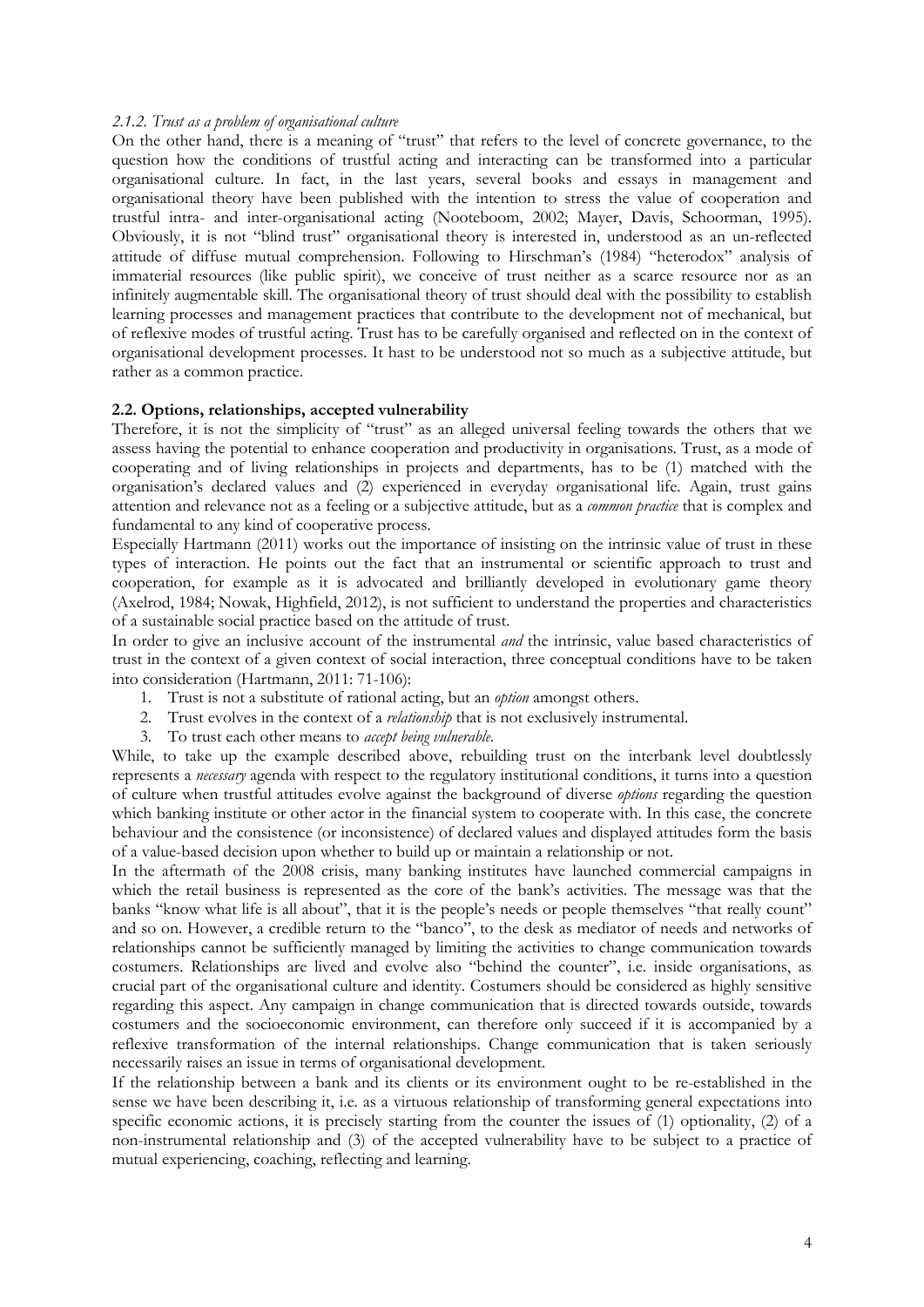#### *2.1.2. Trust as a problem of organisational culture*

On the other hand, there is a meaning of "trust" that refers to the level of concrete governance, to the question how the conditions of trustful acting and interacting can be transformed into a particular organisational culture. In fact, in the last years, several books and essays in management and organisational theory have been published with the intention to stress the value of cooperation and trustful intra- and inter-organisational acting (Nooteboom, 2002; Mayer, Davis, Schoorman, 1995). Obviously, it is not "blind trust" organisational theory is interested in, understood as an un-reflected attitude of diffuse mutual comprehension. Following to Hirschman's (1984) "heterodox" analysis of immaterial resources (like public spirit), we conceive of trust neither as a scarce resource nor as an infinitely augmentable skill. The organisational theory of trust should deal with the possibility to establish learning processes and management practices that contribute to the development not of mechanical, but of reflexive modes of trustful acting. Trust has to be carefully organised and reflected on in the context of organisational development processes. It hast to be understood not so much as a subjective attitude, but rather as a common practice.

#### **2.2. Options, relationships, accepted vulnerability**

Therefore, it is not the simplicity of "trust" as an alleged universal feeling towards the others that we assess having the potential to enhance cooperation and productivity in organisations. Trust, as a mode of cooperating and of living relationships in projects and departments, has to be (1) matched with the organisation's declared values and (2) experienced in everyday organisational life. Again, trust gains attention and relevance not as a feeling or a subjective attitude, but as a *common practice* that is complex and fundamental to any kind of cooperative process.

Especially Hartmann (2011) works out the importance of insisting on the intrinsic value of trust in these types of interaction. He points out the fact that an instrumental or scientific approach to trust and cooperation, for example as it is advocated and brilliantly developed in evolutionary game theory (Axelrod, 1984; Nowak, Highfield, 2012), is not sufficient to understand the properties and characteristics of a sustainable social practice based on the attitude of trust.

In order to give an inclusive account of the instrumental *and* the intrinsic, value based characteristics of trust in the context of a given context of social interaction, three conceptual conditions have to be taken into consideration (Hartmann, 2011: 71-106):

- 1. Trust is not a substitute of rational acting, but an *option* amongst others.
- 2. Trust evolves in the context of a *relationship* that is not exclusively instrumental.
- 3. To trust each other means to *accept being vulnerable*.

While, to take up the example described above, rebuilding trust on the interbank level doubtlessly represents a *necessary* agenda with respect to the regulatory institutional conditions, it turns into a question of culture when trustful attitudes evolve against the background of diverse *options* regarding the question which banking institute or other actor in the financial system to cooperate with. In this case, the concrete behaviour and the consistence (or inconsistence) of declared values and displayed attitudes form the basis of a value-based decision upon whether to build up or maintain a relationship or not.

In the aftermath of the 2008 crisis, many banking institutes have launched commercial campaigns in which the retail business is represented as the core of the bank's activities. The message was that the banks "know what life is all about", that it is the people's needs or people themselves "that really count" and so on. However, a credible return to the "banco", to the desk as mediator of needs and networks of relationships cannot be sufficiently managed by limiting the activities to change communication towards costumers. Relationships are lived and evolve also "behind the counter", i.e. inside organisations, as crucial part of the organisational culture and identity. Costumers should be considered as highly sensitive regarding this aspect. Any campaign in change communication that is directed towards outside, towards costumers and the socioeconomic environment, can therefore only succeed if it is accompanied by a reflexive transformation of the internal relationships. Change communication that is taken seriously necessarily raises an issue in terms of organisational development.

If the relationship between a bank and its clients or its environment ought to be re-established in the sense we have been describing it, i.e. as a virtuous relationship of transforming general expectations into specific economic actions, it is precisely starting from the counter the issues of (1) optionality, (2) of a non-instrumental relationship and (3) of the accepted vulnerability have to be subject to a practice of mutual experiencing, coaching, reflecting and learning.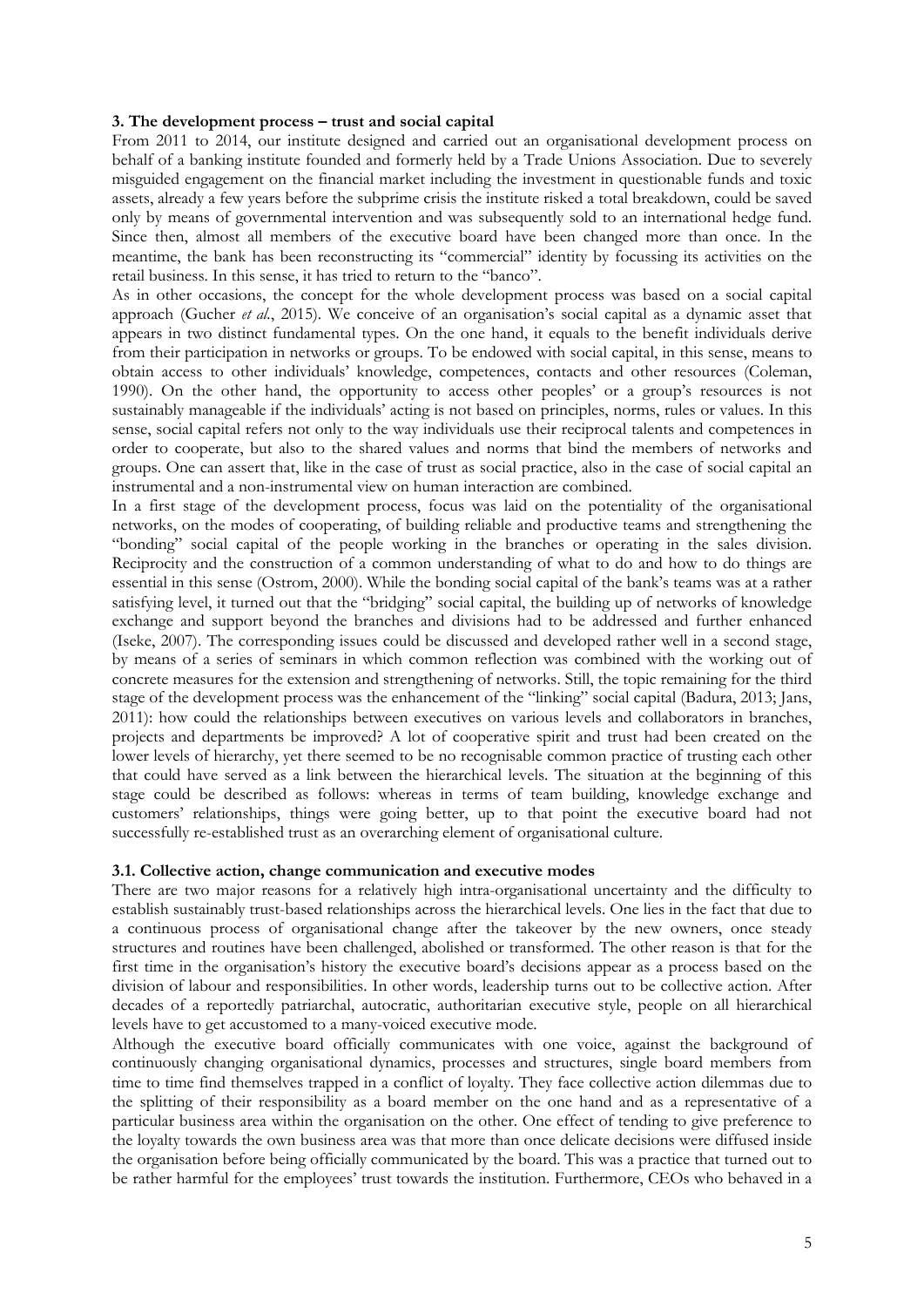#### **3. The development process – trust and social capital**

From 2011 to 2014, our institute designed and carried out an organisational development process on behalf of a banking institute founded and formerly held by a Trade Unions Association. Due to severely misguided engagement on the financial market including the investment in questionable funds and toxic assets, already a few years before the subprime crisis the institute risked a total breakdown, could be saved only by means of governmental intervention and was subsequently sold to an international hedge fund. Since then, almost all members of the executive board have been changed more than once. In the meantime, the bank has been reconstructing its "commercial" identity by focussing its activities on the retail business. In this sense, it has tried to return to the "banco".

As in other occasions, the concept for the whole development process was based on a social capital approach (Gucher *et al.*, 2015). We conceive of an organisation's social capital as a dynamic asset that appears in two distinct fundamental types. On the one hand, it equals to the benefit individuals derive from their participation in networks or groups. To be endowed with social capital, in this sense, means to obtain access to other individuals' knowledge, competences, contacts and other resources (Coleman, 1990). On the other hand, the opportunity to access other peoples' or a group's resources is not sustainably manageable if the individuals' acting is not based on principles, norms, rules or values. In this sense, social capital refers not only to the way individuals use their reciprocal talents and competences in order to cooperate, but also to the shared values and norms that bind the members of networks and groups. One can assert that, like in the case of trust as social practice, also in the case of social capital an instrumental and a non-instrumental view on human interaction are combined.

In a first stage of the development process, focus was laid on the potentiality of the organisational networks, on the modes of cooperating, of building reliable and productive teams and strengthening the "bonding" social capital of the people working in the branches or operating in the sales division. Reciprocity and the construction of a common understanding of what to do and how to do things are essential in this sense (Ostrom, 2000). While the bonding social capital of the bank's teams was at a rather satisfying level, it turned out that the "bridging" social capital, the building up of networks of knowledge exchange and support beyond the branches and divisions had to be addressed and further enhanced (Iseke, 2007). The corresponding issues could be discussed and developed rather well in a second stage, by means of a series of seminars in which common reflection was combined with the working out of concrete measures for the extension and strengthening of networks. Still, the topic remaining for the third stage of the development process was the enhancement of the "linking" social capital (Badura, 2013; Jans, 2011): how could the relationships between executives on various levels and collaborators in branches, projects and departments be improved? A lot of cooperative spirit and trust had been created on the lower levels of hierarchy, yet there seemed to be no recognisable common practice of trusting each other that could have served as a link between the hierarchical levels. The situation at the beginning of this stage could be described as follows: whereas in terms of team building, knowledge exchange and customers' relationships, things were going better, up to that point the executive board had not successfully re-established trust as an overarching element of organisational culture.

#### **3.1. Collective action, change communication and executive modes**

There are two major reasons for a relatively high intra-organisational uncertainty and the difficulty to establish sustainably trust-based relationships across the hierarchical levels. One lies in the fact that due to a continuous process of organisational change after the takeover by the new owners, once steady structures and routines have been challenged, abolished or transformed. The other reason is that for the first time in the organisation's history the executive board's decisions appear as a process based on the division of labour and responsibilities. In other words, leadership turns out to be collective action. After decades of a reportedly patriarchal, autocratic, authoritarian executive style, people on all hierarchical levels have to get accustomed to a many-voiced executive mode.

Although the executive board officially communicates with one voice, against the background of continuously changing organisational dynamics, processes and structures, single board members from time to time find themselves trapped in a conflict of loyalty. They face collective action dilemmas due to the splitting of their responsibility as a board member on the one hand and as a representative of a particular business area within the organisation on the other. One effect of tending to give preference to the loyalty towards the own business area was that more than once delicate decisions were diffused inside the organisation before being officially communicated by the board. This was a practice that turned out to be rather harmful for the employees' trust towards the institution. Furthermore, CEOs who behaved in a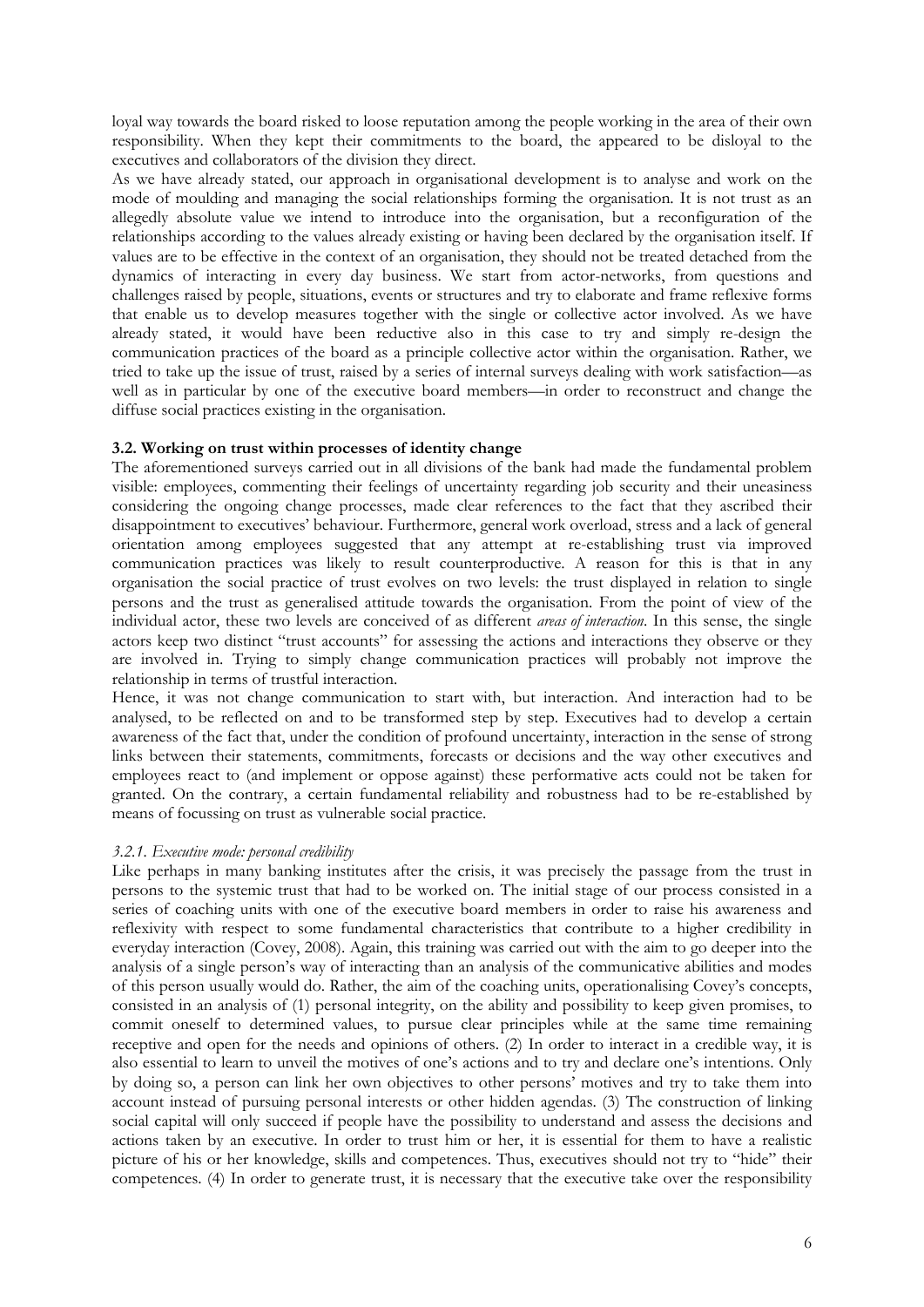loyal way towards the board risked to loose reputation among the people working in the area of their own responsibility. When they kept their commitments to the board, the appeared to be disloyal to the executives and collaborators of the division they direct.

As we have already stated, our approach in organisational development is to analyse and work on the mode of moulding and managing the social relationships forming the organisation. It is not trust as an allegedly absolute value we intend to introduce into the organisation, but a reconfiguration of the relationships according to the values already existing or having been declared by the organisation itself. If values are to be effective in the context of an organisation, they should not be treated detached from the dynamics of interacting in every day business. We start from actor-networks, from questions and challenges raised by people, situations, events or structures and try to elaborate and frame reflexive forms that enable us to develop measures together with the single or collective actor involved. As we have already stated, it would have been reductive also in this case to try and simply re-design the communication practices of the board as a principle collective actor within the organisation. Rather, we tried to take up the issue of trust, raised by a series of internal surveys dealing with work satisfaction—as well as in particular by one of the executive board members—in order to reconstruct and change the diffuse social practices existing in the organisation.

### **3.2. Working on trust within processes of identity change**

The aforementioned surveys carried out in all divisions of the bank had made the fundamental problem visible: employees, commenting their feelings of uncertainty regarding job security and their uneasiness considering the ongoing change processes, made clear references to the fact that they ascribed their disappointment to executives' behaviour. Furthermore, general work overload, stress and a lack of general orientation among employees suggested that any attempt at re-establishing trust via improved communication practices was likely to result counterproductive. A reason for this is that in any organisation the social practice of trust evolves on two levels: the trust displayed in relation to single persons and the trust as generalised attitude towards the organisation. From the point of view of the individual actor, these two levels are conceived of as different *areas of interaction*. In this sense, the single actors keep two distinct "trust accounts" for assessing the actions and interactions they observe or they are involved in. Trying to simply change communication practices will probably not improve the relationship in terms of trustful interaction.

Hence, it was not change communication to start with, but interaction. And interaction had to be analysed, to be reflected on and to be transformed step by step. Executives had to develop a certain awareness of the fact that, under the condition of profound uncertainty, interaction in the sense of strong links between their statements, commitments, forecasts or decisions and the way other executives and employees react to (and implement or oppose against) these performative acts could not be taken for granted. On the contrary, a certain fundamental reliability and robustness had to be re-established by means of focussing on trust as vulnerable social practice.

### *3.2.1. Executive mode: personal credibility*

Like perhaps in many banking institutes after the crisis, it was precisely the passage from the trust in persons to the systemic trust that had to be worked on. The initial stage of our process consisted in a series of coaching units with one of the executive board members in order to raise his awareness and reflexivity with respect to some fundamental characteristics that contribute to a higher credibility in everyday interaction (Covey, 2008). Again, this training was carried out with the aim to go deeper into the analysis of a single person's way of interacting than an analysis of the communicative abilities and modes of this person usually would do. Rather, the aim of the coaching units, operationalising Covey's concepts, consisted in an analysis of (1) personal integrity, on the ability and possibility to keep given promises, to commit oneself to determined values, to pursue clear principles while at the same time remaining receptive and open for the needs and opinions of others. (2) In order to interact in a credible way, it is also essential to learn to unveil the motives of one's actions and to try and declare one's intentions. Only by doing so, a person can link her own objectives to other persons' motives and try to take them into account instead of pursuing personal interests or other hidden agendas. (3) The construction of linking social capital will only succeed if people have the possibility to understand and assess the decisions and actions taken by an executive. In order to trust him or her, it is essential for them to have a realistic picture of his or her knowledge, skills and competences. Thus, executives should not try to "hide" their competences. (4) In order to generate trust, it is necessary that the executive take over the responsibility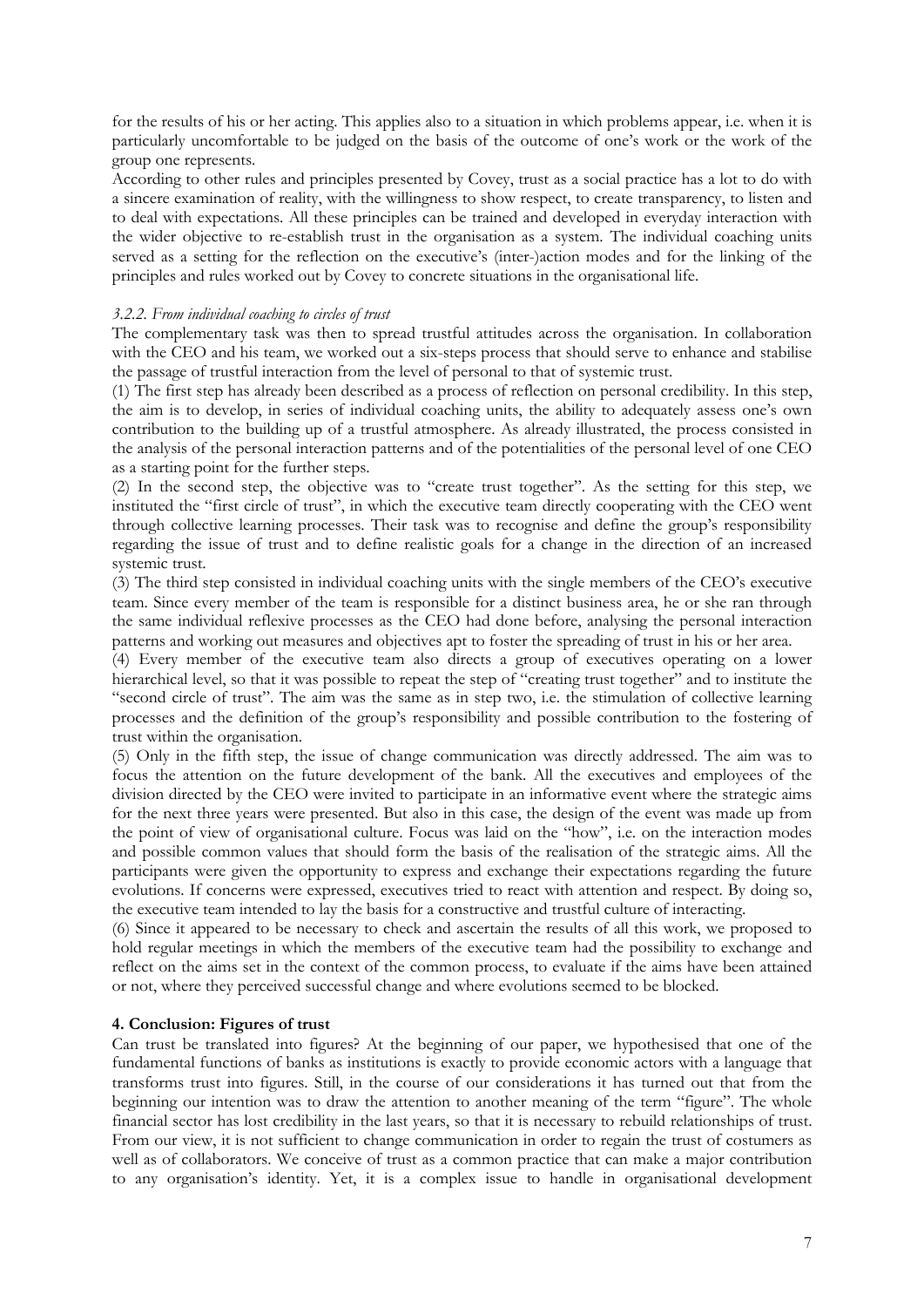for the results of his or her acting. This applies also to a situation in which problems appear, i.e. when it is particularly uncomfortable to be judged on the basis of the outcome of one's work or the work of the group one represents.

According to other rules and principles presented by Covey, trust as a social practice has a lot to do with a sincere examination of reality, with the willingness to show respect, to create transparency, to listen and to deal with expectations. All these principles can be trained and developed in everyday interaction with the wider objective to re-establish trust in the organisation as a system. The individual coaching units served as a setting for the reflection on the executive's (inter-)action modes and for the linking of the principles and rules worked out by Covey to concrete situations in the organisational life.

## *3.2.2. From individual coaching to circles of trust*

The complementary task was then to spread trustful attitudes across the organisation. In collaboration with the CEO and his team, we worked out a six-steps process that should serve to enhance and stabilise the passage of trustful interaction from the level of personal to that of systemic trust.

(1) The first step has already been described as a process of reflection on personal credibility. In this step, the aim is to develop, in series of individual coaching units, the ability to adequately assess one's own contribution to the building up of a trustful atmosphere. As already illustrated, the process consisted in the analysis of the personal interaction patterns and of the potentialities of the personal level of one CEO as a starting point for the further steps.

(2) In the second step, the objective was to "create trust together". As the setting for this step, we instituted the "first circle of trust", in which the executive team directly cooperating with the CEO went through collective learning processes. Their task was to recognise and define the group's responsibility regarding the issue of trust and to define realistic goals for a change in the direction of an increased systemic trust.

(3) The third step consisted in individual coaching units with the single members of the CEO's executive team. Since every member of the team is responsible for a distinct business area, he or she ran through the same individual reflexive processes as the CEO had done before, analysing the personal interaction patterns and working out measures and objectives apt to foster the spreading of trust in his or her area.

(4) Every member of the executive team also directs a group of executives operating on a lower hierarchical level, so that it was possible to repeat the step of "creating trust together" and to institute the "second circle of trust". The aim was the same as in step two, i.e. the stimulation of collective learning processes and the definition of the group's responsibility and possible contribution to the fostering of trust within the organisation.

(5) Only in the fifth step, the issue of change communication was directly addressed. The aim was to focus the attention on the future development of the bank. All the executives and employees of the division directed by the CEO were invited to participate in an informative event where the strategic aims for the next three years were presented. But also in this case, the design of the event was made up from the point of view of organisational culture. Focus was laid on the "how", i.e. on the interaction modes and possible common values that should form the basis of the realisation of the strategic aims. All the participants were given the opportunity to express and exchange their expectations regarding the future evolutions. If concerns were expressed, executives tried to react with attention and respect. By doing so, the executive team intended to lay the basis for a constructive and trustful culture of interacting.

(6) Since it appeared to be necessary to check and ascertain the results of all this work, we proposed to hold regular meetings in which the members of the executive team had the possibility to exchange and reflect on the aims set in the context of the common process, to evaluate if the aims have been attained or not, where they perceived successful change and where evolutions seemed to be blocked.

## **4. Conclusion: Figures of trust**

Can trust be translated into figures? At the beginning of our paper, we hypothesised that one of the fundamental functions of banks as institutions is exactly to provide economic actors with a language that transforms trust into figures. Still, in the course of our considerations it has turned out that from the beginning our intention was to draw the attention to another meaning of the term "figure". The whole financial sector has lost credibility in the last years, so that it is necessary to rebuild relationships of trust. From our view, it is not sufficient to change communication in order to regain the trust of costumers as well as of collaborators. We conceive of trust as a common practice that can make a major contribution to any organisation's identity. Yet, it is a complex issue to handle in organisational development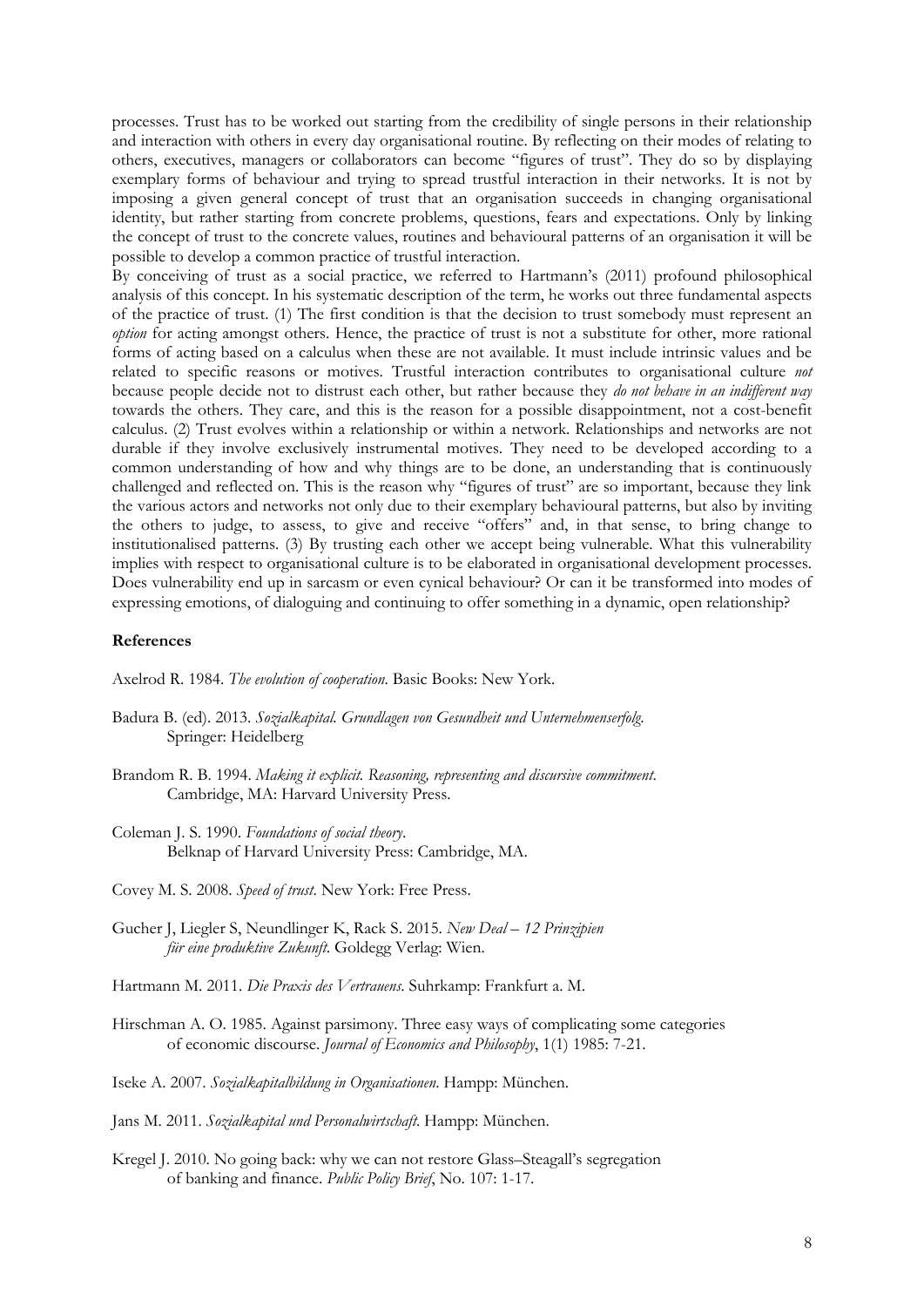processes. Trust has to be worked out starting from the credibility of single persons in their relationship and interaction with others in every day organisational routine. By reflecting on their modes of relating to others, executives, managers or collaborators can become "figures of trust". They do so by displaying exemplary forms of behaviour and trying to spread trustful interaction in their networks. It is not by imposing a given general concept of trust that an organisation succeeds in changing organisational identity, but rather starting from concrete problems, questions, fears and expectations. Only by linking the concept of trust to the concrete values, routines and behavioural patterns of an organisation it will be possible to develop a common practice of trustful interaction.

By conceiving of trust as a social practice, we referred to Hartmann's (2011) profound philosophical analysis of this concept. In his systematic description of the term, he works out three fundamental aspects of the practice of trust. (1) The first condition is that the decision to trust somebody must represent an *option* for acting amongst others. Hence, the practice of trust is not a substitute for other, more rational forms of acting based on a calculus when these are not available. It must include intrinsic values and be related to specific reasons or motives. Trustful interaction contributes to organisational culture *not* because people decide not to distrust each other, but rather because they *do not behave in an indifferent way* towards the others. They care, and this is the reason for a possible disappointment, not a cost-benefit calculus. (2) Trust evolves within a relationship or within a network. Relationships and networks are not durable if they involve exclusively instrumental motives. They need to be developed according to a common understanding of how and why things are to be done, an understanding that is continuously challenged and reflected on. This is the reason why "figures of trust" are so important, because they link the various actors and networks not only due to their exemplary behavioural patterns, but also by inviting the others to judge, to assess, to give and receive "offers" and, in that sense, to bring change to institutionalised patterns. (3) By trusting each other we accept being vulnerable. What this vulnerability implies with respect to organisational culture is to be elaborated in organisational development processes. Does vulnerability end up in sarcasm or even cynical behaviour? Or can it be transformed into modes of expressing emotions, of dialoguing and continuing to offer something in a dynamic, open relationship?

### **References**

Axelrod R. 1984. *The evolution of cooperation*. Basic Books: New York.

- Badura B. (ed). 2013. *Sozialkapital. Grundlagen von Gesundheit und Unternehmenserfolg*. Springer: Heidelberg
- Brandom R. B. 1994. *Making it explicit. Reasoning, representing and discursive commitment*. Cambridge, MA: Harvard University Press.
- Coleman J. S. 1990. *Foundations of social theory*. Belknap of Harvard University Press: Cambridge, MA.
- Covey M. S. 2008. *Speed of trust*. New York: Free Press.
- Gucher J, Liegler S, Neundlinger K, Rack S. 2015. *New Deal – 12 Prinzipien für eine produktive Zukunft*. Goldegg Verlag: Wien.
- Hartmann M. 2011. *Die Praxis des Vertrauens*. Suhrkamp: Frankfurt a. M.
- Hirschman A. O. 1985. Against parsimony. Three easy ways of complicating some categories of economic discourse. *Journal of Economics and Philosophy*, 1(1) 1985: 7-21.
- Iseke A. 2007. *Sozialkapitalbildung in Organisationen*. Hampp: München.
- Jans M. 2011. *Sozialkapital und Personalwirtschaft*. Hampp: München.
- Kregel J. 2010. No going back: why we can not restore Glass–Steagall's segregation of banking and finance. *Public Policy Brief*, No. 107: 1-17.